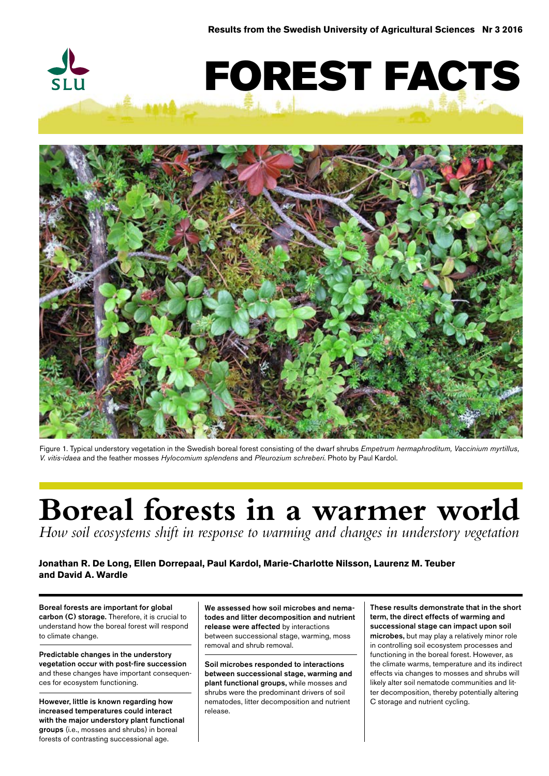



Figure 1. Typical understory vegetation in the Swedish boreal forest consisting of the dwarf shrubs *Empetrum hermaphroditum, Vaccinium myrtillus, V. vitis-idaea* and the feather mosses *Hylocomium splendens* and *Pleurozium schreberi*. Photo by Paul Kardol.

# **Boreal forests in a warmer world**

*How soil ecosystems shift in response to warming and changes in understory vegetation*

# **Jonathan R. De Long, Ellen Dorrepaal, Paul Kardol, Marie-Charlotte Nilsson, Laurenz M. Teuber and David A. Wardle**

Boreal forests are important for global carbon (C) storage. Therefore, it is crucial to understand how the boreal forest will respond to climate change.

Predictable changes in the understory vegetation occur with post-fire succession and these changes have important consequences for ecosystem functioning.

However, little is known regarding how increased temperatures could interact with the major understory plant functional groups (i.e., mosses and shrubs) in boreal forests of contrasting successional age.

We assessed how soil microbes and nematodes and litter decomposition and nutrient release were affected by interactions between successional stage, warming, moss removal and shrub removal.

Soil microbes responded to interactions between successional stage, warming and plant functional groups, while mosses and shrubs were the predominant drivers of soil nematodes, litter decomposition and nutrient release.

These results demonstrate that in the short term, the direct effects of warming and successional stage can impact upon soil microbes, but may play a relatively minor role in controlling soil ecosystem processes and functioning in the boreal forest. However, as the climate warms, temperature and its indirect effects via changes to mosses and shrubs will likely alter soil nematode communities and litter decomposition, thereby potentially altering C storage and nutrient cycling.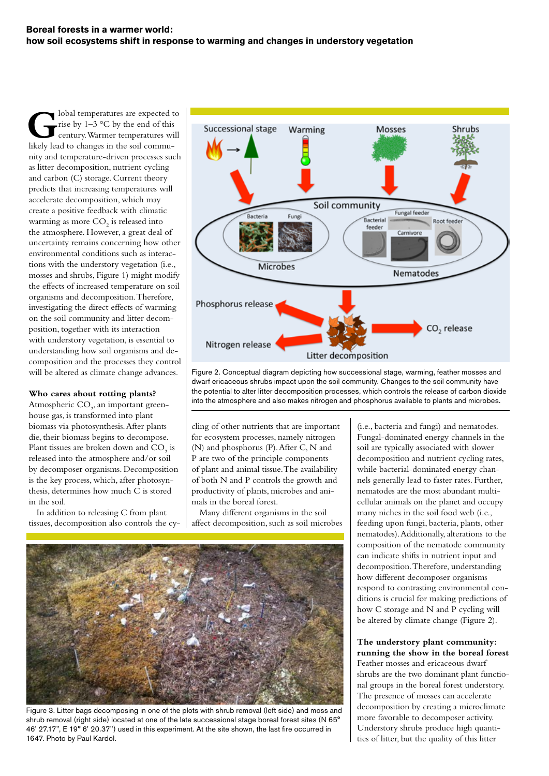lobal temperatures are expected to rise by 1–3 °C by the end of this century. Warmer temperatures will likely lead to changes in the soil community and temperature-driven processes such as litter decomposition, nutrient cycling and carbon (C) storage. Current theory predicts that increasing temperatures will accelerate decomposition, which may create a positive feedback with climatic warming as more  $\mathrm{CO}_2$  is released into the atmosphere. However, a great deal of uncertainty remains concerning how other environmental conditions such as interactions with the understory vegetation (i.e., mosses and shrubs, Figure 1) might modify the effects of increased temperature on soil organisms and decomposition. Therefore, investigating the direct effects of warming on the soil community and litter decomposition, together with its interaction with understory vegetation, is essential to understanding how soil organisms and decomposition and the processes they control will be altered as climate change advances.

# **Who cares about rotting plants?**

Atmospheric  $\mathrm{CO}_2$ , an important greenhouse gas, is transformed into plant biomass via photosynthesis. After plants die, their biomass begins to decompose. Plant tissues are broken down and  $CO_2$  is released into the atmosphere and/or soil by decomposer organisms. Decomposition is the key process, which, after photosynthesis, determines how much C is stored in the soil.

In addition to releasing C from plant tissues, decomposition also controls the cy-



Figure 2. Conceptual diagram depicting how successional stage, warming, feather mosses and dwarf ericaceous shrubs impact upon the soil community. Changes to the soil community have the potential to alter litter decomposition processes, which controls the release of carbon dioxide into the atmosphere and also makes nitrogen and phosphorus available to plants and microbes.

cling of other nutrients that are important for ecosystem processes, namely nitrogen (N) and phosphorus (P). After C, N and P are two of the principle components of plant and animal tissue. The availability of both N and P controls the growth and productivity of plants, microbes and animals in the boreal forest.

Many different organisms in the soil affect decomposition, such as soil microbes



Figure 3. Litter bags decomposing in one of the plots with shrub removal (left side) and moss and shrub removal (right side) located at one of the late successional stage boreal forest sites (N 65° 46' 27.17", E 19° 6' 20.37") used in this experiment. At the site shown, the last fire occurred in 1647. Photo by Paul Kardol.

(i.e., bacteria and fungi) and nematodes. Fungal-dominated energy channels in the soil are typically associated with slower decomposition and nutrient cycling rates, while bacterial-dominated energy channels generally lead to faster rates. Further, nematodes are the most abundant multicellular animals on the planet and occupy many niches in the soil food web (i.e., feeding upon fungi, bacteria, plants, other nematodes). Additionally, alterations to the composition of the nematode community can indicate shifts in nutrient input and decomposition. Therefore, understanding how different decomposer organisms respond to contrasting environmental conditions is crucial for making predictions of how C storage and N and P cycling will be altered by climate change (Figure 2).

# **The understory plant community: running the show in the boreal forest**

Feather mosses and ericaceous dwarf shrubs are the two dominant plant functional groups in the boreal forest understory. The presence of mosses can accelerate decomposition by creating a microclimate more favorable to decomposer activity. Understory shrubs produce high quantities of litter, but the quality of this litter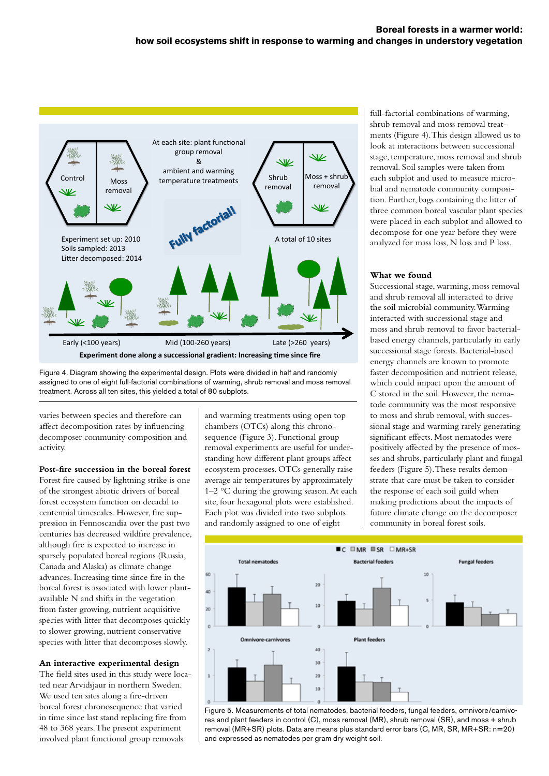

Figure 4. Diagram showing the experimental design. Plots were divided in half and randomly assigned to one of eight full-factorial combinations of warming, shrub removal and moss removal treatment. Across all ten sites, this yielded a total of 80 subplots.

varies between species and therefore can affect decomposition rates by influencing decomposer community composition and activity.

**Post-fire succession in the boreal forest** Forest fire caused by lightning strike is one

of the strongest abiotic drivers of boreal forest ecosystem function on decadal to centennial timescales. However, fire suppression in Fennoscandia over the past two centuries has decreased wildfire prevalence, although fire is expected to increase in sparsely populated boreal regions (Russia, Canada and Alaska) as climate change advances. Increasing time since fire in the boreal forest is associated with lower plantavailable N and shifts in the vegetation from faster growing, nutrient acquisitive species with litter that decomposes quickly to slower growing, nutrient conservative species with litter that decomposes slowly.

#### **An interactive experimental design**

The field sites used in this study were located near Arvidsjaur in northern Sweden. We used ten sites along a fire-driven boreal forest chronosequence that varied in time since last stand replacing fire from 48 to 368 years. The present experiment involved plant functional group removals

and warming treatments using open top chambers (OTCs) along this chronosequence (Figure 3). Functional group removal experiments are useful for understanding how different plant groups affect ecosystem processes. OTCs generally raise average air temperatures by approximately 1–2 °C during the growing season. At each site, four hexagonal plots were established. Each plot was divided into two subplots and randomly assigned to one of eight

full-factorial combinations of warming, shrub removal and moss removal treatments (Figure 4). This design allowed us to look at interactions between successional stage, temperature, moss removal and shrub removal. Soil samples were taken from each subplot and used to measure microbial and nematode community composition. Further, bags containing the litter of three common boreal vascular plant species were placed in each subplot and allowed to decompose for one year before they were analyzed for mass loss, N loss and P loss.

# **What we found**

Successional stage, warming, moss removal and shrub removal all interacted to drive the soil microbial community. Warming interacted with successional stage and moss and shrub removal to favor bacterialbased energy channels, particularly in early successional stage forests. Bacterial-based energy channels are known to promote faster decomposition and nutrient release, which could impact upon the amount of C stored in the soil. However, the nematode community was the most responsive to moss and shrub removal, with successional stage and warming rarely generating significant effects. Most nematodes were positively affected by the presence of mosses and shrubs, particularly plant and fungal feeders (Figure 5). These results demonstrate that care must be taken to consider the response of each soil guild when making predictions about the impacts of future climate change on the decomposer community in boreal forest soils.



Figure 5. Measurements of total nematodes, bacterial feeders, fungal feeders, omnivore/carnivores and plant feeders in control (C), moss removal (MR), shrub removal (SR), and moss + shrub removal (MR+SR) plots. Data are means plus standard error bars (C, MR, SR, MR+SR: n=20) and expressed as nematodes per gram dry weight soil.